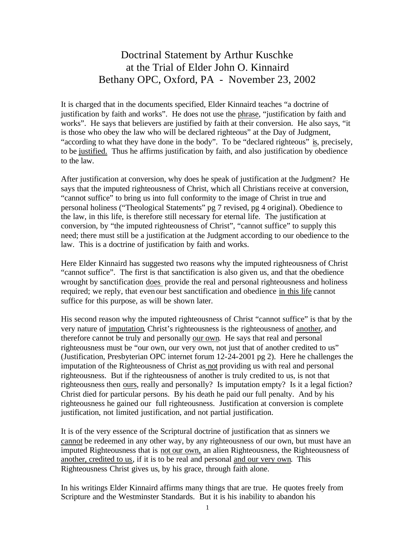## Doctrinal Statement by Arthur Kuschke at the Trial of Elder John O. Kinnaird Bethany OPC, Oxford, PA - November 23, 2002

It is charged that in the documents specified, Elder Kinnaird teaches "a doctrine of justification by faith and works". He does not use the phrase, "justification by faith and works". He says that believers are justified by faith at their conversion. He also says, "it is those who obey the law who will be declared righteous" at the Day of Judgment, "according to what they have done in the body". To be "declared righteous" is, precisely, to be justified. Thus he affirms justification by faith, and also justification by obedience to the law.

After justification at conversion, why does he speak of justification at the Judgment? He says that the imputed righteousness of Christ, which all Christians receive at conversion, "cannot suffice" to bring us into full conformity to the image of Christ in true and personal holiness ("Theological Statements" pg 7 revised, pg 4 original). Obedience to the law, in this life, is therefore still necessary for eternal life. The justification at conversion, by "the imputed righteousness of Christ", "cannot suffice" to supply this need; there must still be a justification at the Judgment according to our obedience to the law. This is a doctrine of justification by faith and works.

Here Elder Kinnaird has suggested two reasons why the imputed righteousness of Christ "cannot suffice". The first is that sanctification is also given us, and that the obedience wrought by sanctification does provide the real and personal righteousness and holiness required; we reply, that even our best sanctification and obedience in this life cannot suffice for this purpose, as will be shown later.

His second reason why the imputed righteousness of Christ "cannot suffice" is that by the very nature of imputation, Christ's righteousness is the righteousness of another, and therefore cannot be truly and personally our own. He says that real and personal righteousness must be "our own, our very own, not just that of another credited to us" (Justification, Presbyterian OPC internet forum 12-24-2001 pg 2). Here he challenges the imputation of the Righteousness of Christ as not providing us with real and personal righteousness. But if the righteousness of another is truly credited to us, is not that righteousness then ours, really and personally? Is imputation empty? Is it a legal fiction? Christ died for particular persons. By his death he paid our full penalty. And by his righteousness he gained our full righteousness. Justification at conversion is complete justification, not limited justification, and not partial justification.

It is of the very essence of the Scriptural doctrine of justification that as sinners we cannot be redeemed in any other way, by any righteousness of our own, but must have an imputed Righteousness that is not our own, an alien Righteousness, the Righteousness of another, credited to us, if it is to be real and personal and our very own. This Righteousness Christ gives us, by his grace, through faith alone.

In his writings Elder Kinnaird affirms many things that are true. He quotes freely from Scripture and the Westminster Standards. But it is his inability to abandon his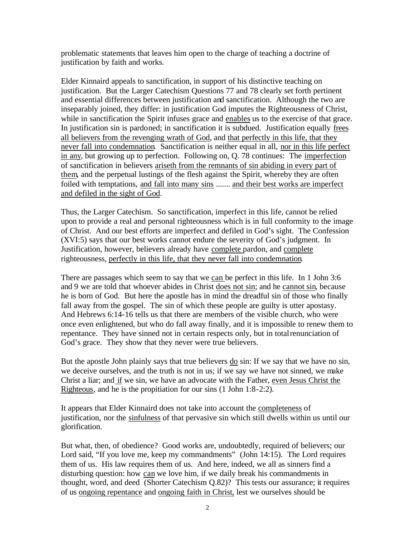problematic statements that leaves him open to the charge of teaching a doctrine of justification by faith and works.

Elder Kinnaird appeals to sanctification, in support of his distinctive teaching on justification. But the Larger Catechism Questions 77 and 78 clearly set forth pertinent and essential differences between justification and sanctification. Although the two are inseparably joined, they differ: in justification God imputes the Righteousness of Christ, while in sanctification the Spirit infuses grace and enables us to the exercise of that grace. In justification sin is pardoned; in sanctification it is subdued. Justification equally frees all believers from the revenging wrath of God, and that perfectly in this life, that they never fall into condemnation. Sanctification is neither equal in all, nor in this life perfect in any, but growing up to perfection. Following on, Q. 78 continues: The imperfection of sanctification in believers ariseth from the remnants of sin abiding in every part of them, and the perpetual lustings of the flesh against the Spirit, whereby they are often foiled with temptations, and fall into many sins ....... and their best works are imperfect and defiled in the sight of God.

Thus, the Larger Catechism. So sanctification, imperfect in this life, cannot be relied upon to provide a real and personal righteousness which is in full conformity to the image of Christ. And our best efforts are imperfect and defiled in God's sight. The Confession (XVI:5) says that our best works cannot endure the severity of God's judgment. In Justification, however, believers already have complete pardon, and complete righteousness, perfectly in this life, that they never fall into condemnation.

There are passages which seem to say that we can be perfect in this life. In 1 John 3:6 and 9 we are told that whoever abides in Christ does not sin; and he cannot sin, because he is born of God. But here the apostle has in mind the dreadful sin of those who finally fall away from the gospel. The sin of which these people are guilty is utter apostasy. And Hebrews 6:14-16 tells us that there are members of the visible church, who were once even enlightened, but who do fall away finally, and it is impossible to renew them to repentance. They have sinned not in certain respects only, but in total renunciation of God's grace. They show that they never were true believers.

But the apostle John plainly says that true believers do sin: If we say that we have no sin, we deceive ourselves, and the truth is not in us; if we say we have not sinned, we make Christ a liar; and if we sin, we have an advocate with the Father, even Jesus Christ the Righteous, and he is the propitiation for our sins (1 John 1:8-2:2).

It appears that Elder Kinnaird does not take into account the completeness of justification, nor the sinfulness of that pervasive sin which still dwells within us until our glorification.

But what, then, of obedience? Good works are, undoubtedly, required of believers; our Lord said, "If you love me, keep my commandments" (John 14:15). The Lord requires them of us. His law requires them of us. And here, indeed, we all as sinners find a disturbing question: how can we love him, if we daily break his commandments in thought, word, and deed (Shorter Catechism Q.82)? This tests our assurance; it requires of us ongoing repentance and ongoing faith in Christ, lest we ourselves should be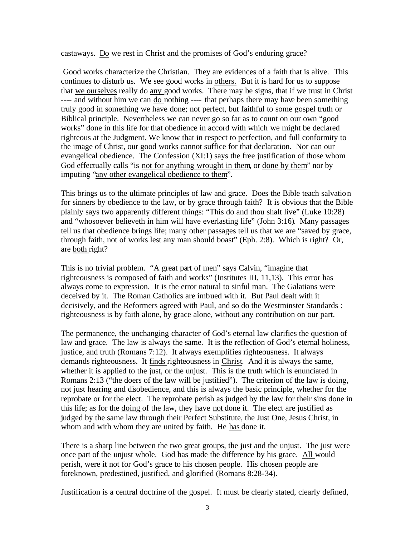castaways. Do we rest in Christ and the promises of God's enduring grace?

 Good works characterize the Christian. They are evidences of a faith that is alive. This continues to disturb us. We see good works in others. But it is hard for us to suppose that we ourselves really do any good works. There may be signs, that if we trust in Christ ---- and without him we can do nothing ---- that perhaps there may have been something truly good in something we have done; not perfect, but faithful to some gospel truth or Biblical principle. Nevertheless we can never go so far as to count on our own "good works" done in this life for that obedience in accord with which we might be declared righteous at the Judgment. We know that in respect to perfection, and full conformity to the image of Christ, our good works cannot suffice for that declaration. Nor can our evangelical obedience. The Confession (XI:1) says the free justification of those whom God effectually calls "is not for anything wrought in them, or done by them" nor by imputing "any other evangelical obedience to them".

This brings us to the ultimate principles of law and grace. Does the Bible teach salvation for sinners by obedience to the law, or by grace through faith? It is obvious that the Bible plainly says two apparently different things: "This do and thou shalt live" (Luke 10:28) and "whosoever believeth in him will have everlasting life" (John 3:16). Many passages tell us that obedience brings life; many other passages tell us that we are "saved by grace, through faith, not of works lest any man should boast" (Eph. 2:8). Which is right? Or, are both right?

This is no trivial problem. "A great part of men" says Calvin, "imagine that righteousness is composed of faith and works" (Institutes III, 11,13). This error has always come to expression. It is the error natural to sinful man. The Galatians were deceived by it. The Roman Catholics are imbued with it. But Paul dealt with it decisively, and the Reformers agreed with Paul, and so do the Westminster Standards : righteousness is by faith alone, by grace alone, without any contribution on our part.

The permanence, the unchanging character of God's eternal law clarifies the question of law and grace. The law is always the same. It is the reflection of God's eternal holiness, justice, and truth (Romans 7:12). It always exemplifies righteousness. It always demands righteousness. It finds righteousness in Christ. And it is always the same, whether it is applied to the just, or the unjust. This is the truth which is enunciated in Romans 2:13 ("the doers of the law will be justified"). The criterion of the law is doing, not just hearing and disobedience, and this is always the basic principle, whether for the reprobate or for the elect. The reprobate perish as judged by the law for their sins done in this life; as for the doing of the law, they have not done it. The elect are justified as judged by the same law through their Perfect Substitute, the Just One, Jesus Christ, in whom and with whom they are united by faith. He has done it.

There is a sharp line between the two great groups, the just and the unjust. The just were once part of the unjust whole. God has made the difference by his grace. All would perish, were it not for God's grace to his chosen people. His chosen people are foreknown, predestined, justified, and glorified (Romans 8:28-34).

Justification is a central doctrine of the gospel. It must be clearly stated, clearly defined,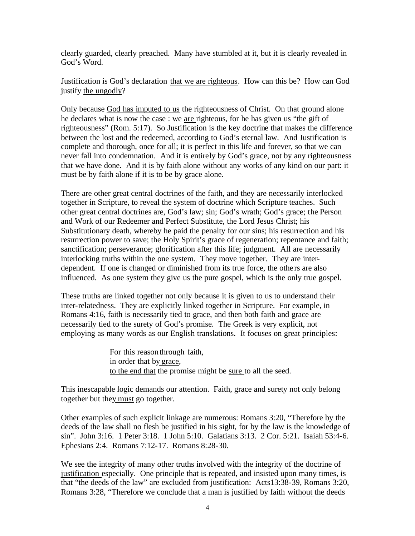clearly guarded, clearly preached. Many have stumbled at it, but it is clearly revealed in God's Word.

Justification is God's declaration that we are righteous. How can this be? How can God justify the ungodly?

Only because God has imputed to us the righteousness of Christ. On that ground alone he declares what is now the case : we are righteous, for he has given us "the gift of righteousness" (Rom. 5:17). So Justification is the key doctrine that makes the difference between the lost and the redeemed, according to God's eternal law. And Justification is complete and thorough, once for all; it is perfect in this life and forever, so that we can never fall into condemnation. And it is entirely by God's grace, not by any righteousness that we have done. And it is by faith alone without any works of any kind on our part: it must be by faith alone if it is to be by grace alone.

There are other great central doctrines of the faith, and they are necessarily interlocked together in Scripture, to reveal the system of doctrine which Scripture teaches. Such other great central doctrines are, God's law; sin; God's wrath; God's grace; the Person and Work of our Redeemer and Perfect Substitute, the Lord Jesus Christ; his Substitutionary death, whereby he paid the penalty for our sins; his resurrection and his resurrection power to save; the Holy Spirit's grace of regeneration; repentance and faith; sanctification; perseverance; glorification after this life; judgment. All are necessarily interlocking truths within the one system. They move together. They are interdependent. If one is changed or diminished from its true force, the others are also influenced. As one system they give us the pure gospel, which is the only true gospel.

These truths are linked together not only because it is given to us to understand their inter-relatedness. They are explicitly linked together in Scripture. For example, in Romans 4:16, faith is necessarily tied to grace, and then both faith and grace are necessarily tied to the surety of God's promise. The Greek is very explicit, not employing as many words as our English translations. It focuses on great principles:

> For this reason through faith, in order that by grace, to the end that the promise might be sure to all the seed.

This inescapable logic demands our attention. Faith, grace and surety not only belong together but they must go together.

Other examples of such explicit linkage are numerous: Romans 3:20, "Therefore by the deeds of the law shall no flesh be justified in his sight, for by the law is the knowledge of sin". John 3:16. 1 Peter 3:18. 1 John 5:10. Galatians 3:13. 2 Cor. 5:21. Isaiah 53:4-6. Ephesians 2:4. Romans 7:12-17. Romans 8:28-30.

We see the integrity of many other truths involved with the integrity of the doctrine of justification especially. One principle that is repeated, and insisted upon many times, is that "the deeds of the law" are excluded from justification: Acts13:38-39, Romans 3:20, Romans 3:28, "Therefore we conclude that a man is justified by faith without the deeds